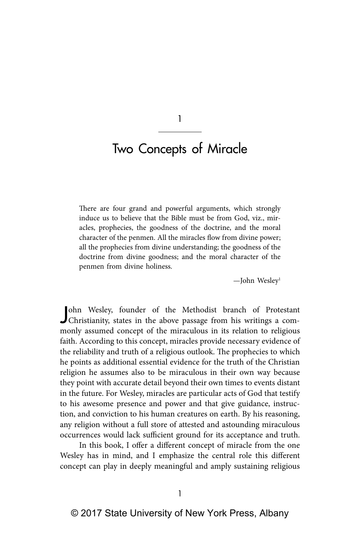# Two Concepts of Miracle

1

There are four grand and powerful arguments, which strongly induce us to believe that the Bible must be from God, viz., miracles, prophecies, the goodness of the doctrine, and the moral character of the penmen. All the miracles flow from divine power; all the prophecies from divine understanding; the goodness of the doctrine from divine goodness; and the moral character of the penmen from divine holiness.

—John Wesley1

John Wesley, founder of the Methodist branch of Protestant Christianity, states in the above passage from his writings a comohn Wesley, founder of the Methodist branch of Protestant monly assumed concept of the miraculous in its relation to religious faith. According to this concept, miracles provide necessary evidence of the reliability and truth of a religious outlook. The prophecies to which he points as additional essential evidence for the truth of the Christian religion he assumes also to be miraculous in their own way because they point with accurate detail beyond their own times to events distant in the future. For Wesley, miracles are particular acts of God that testify to his awesome presence and power and that give guidance, instruction, and conviction to his human creatures on earth. By his reasoning, any religion without a full store of attested and astounding miraculous occurrences would lack sufficient ground for its acceptance and truth.

In this book, I offer a different concept of miracle from the one Wesley has in mind, and I emphasize the central role this different concept can play in deeply meaningful and amply sustaining religious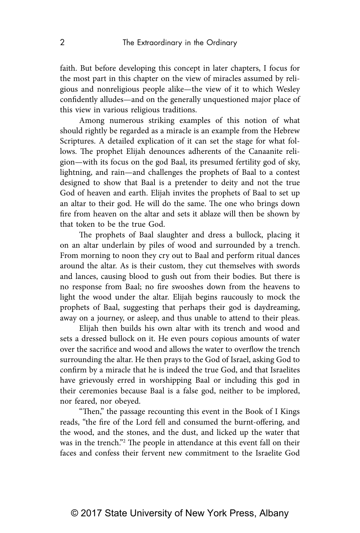faith. But before developing this concept in later chapters, I focus for the most part in this chapter on the view of miracles assumed by religious and nonreligious people alike—the view of it to which Wesley confidently alludes—and on the generally unquestioned major place of this view in various religious traditions.

Among numerous striking examples of this notion of what should rightly be regarded as a miracle is an example from the Hebrew Scriptures. A detailed explication of it can set the stage for what follows. The prophet Elijah denounces adherents of the Canaanite religion—with its focus on the god Baal, its presumed fertility god of sky, lightning, and rain—and challenges the prophets of Baal to a contest designed to show that Baal is a pretender to deity and not the true God of heaven and earth. Elijah invites the prophets of Baal to set up an altar to their god. He will do the same. The one who brings down fire from heaven on the altar and sets it ablaze will then be shown by that token to be the true God.

The prophets of Baal slaughter and dress a bullock, placing it on an altar underlain by piles of wood and surrounded by a trench. From morning to noon they cry out to Baal and perform ritual dances around the altar. As is their custom, they cut themselves with swords and lances, causing blood to gush out from their bodies. But there is no response from Baal; no fire swooshes down from the heavens to light the wood under the altar. Elijah begins raucously to mock the prophets of Baal, suggesting that perhaps their god is daydreaming, away on a journey, or asleep, and thus unable to attend to their pleas.

Elijah then builds his own altar with its trench and wood and sets a dressed bullock on it. He even pours copious amounts of water over the sacrifice and wood and allows the water to overflow the trench surrounding the altar. He then prays to the God of Israel, asking God to confirm by a miracle that he is indeed the true God, and that Israelites have grievously erred in worshipping Baal or including this god in their ceremonies because Baal is a false god, neither to be implored, nor feared, nor obeyed.

"Then," the passage recounting this event in the Book of I Kings reads, "the fire of the Lord fell and consumed the burnt-offering, and the wood, and the stones, and the dust, and licked up the water that was in the trench."<sup>2</sup> The people in attendance at this event fall on their faces and confess their fervent new commitment to the Israelite God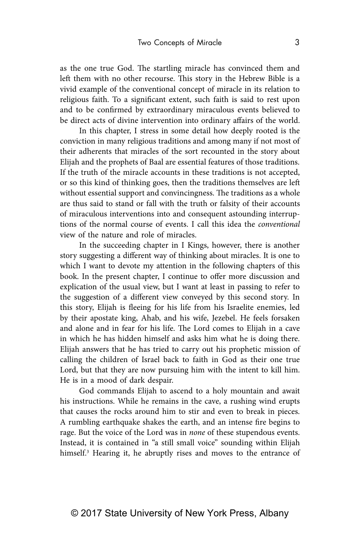as the one true God. The startling miracle has convinced them and left them with no other recourse. This story in the Hebrew Bible is a vivid example of the conventional concept of miracle in its relation to religious faith. To a significant extent, such faith is said to rest upon and to be confirmed by extraordinary miraculous events believed to be direct acts of divine intervention into ordinary affairs of the world.

In this chapter, I stress in some detail how deeply rooted is the conviction in many religious traditions and among many if not most of their adherents that miracles of the sort recounted in the story about Elijah and the prophets of Baal are essential features of those traditions. If the truth of the miracle accounts in these traditions is not accepted, or so this kind of thinking goes, then the traditions themselves are left without essential support and convincingness. The traditions as a whole are thus said to stand or fall with the truth or falsity of their accounts of miraculous interventions into and consequent astounding interruptions of the normal course of events. I call this idea the *conventional* view of the nature and role of miracles.

In the succeeding chapter in I Kings, however, there is another story suggesting a different way of thinking about miracles. It is one to which I want to devote my attention in the following chapters of this book. In the present chapter, I continue to offer more discussion and explication of the usual view, but I want at least in passing to refer to the suggestion of a different view conveyed by this second story. In this story, Elijah is fleeing for his life from his Israelite enemies, led by their apostate king, Ahab, and his wife, Jezebel. He feels forsaken and alone and in fear for his life. The Lord comes to Elijah in a cave in which he has hidden himself and asks him what he is doing there. Elijah answers that he has tried to carry out his prophetic mission of calling the children of Israel back to faith in God as their one true Lord, but that they are now pursuing him with the intent to kill him. He is in a mood of dark despair.

God commands Elijah to ascend to a holy mountain and await his instructions. While he remains in the cave, a rushing wind erupts that causes the rocks around him to stir and even to break in pieces. A rumbling earthquake shakes the earth, and an intense fire begins to rage. But the voice of the Lord was in *none* of these stupendous events. Instead, it is contained in "a still small voice" sounding within Elijah himself.<sup>3</sup> Hearing it, he abruptly rises and moves to the entrance of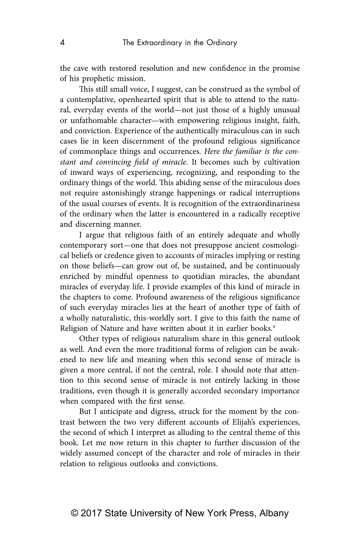the cave with restored resolution and new confidence in the promise of his prophetic mission.

This still small voice, I suggest, can be construed as the symbol of a contemplative, openhearted spirit that is able to attend to the natural, everyday events of the world—not just those of a highly unusual or unfathomable character—with empowering religious insight, faith, and conviction. Experience of the authentically miraculous can in such cases lie in keen discernment of the profound religious significance of commonplace things and occurrences. *Here the familiar is the constant and convincing field of miracle*. It becomes such by cultivation of inward ways of experiencing, recognizing, and responding to the ordinary things of the world. This abiding sense of the miraculous does not require astonishingly strange happenings or radical interruptions of the usual courses of events. It is recognition of the extraordinariness of the ordinary when the latter is encountered in a radically receptive and discerning manner.

I argue that religious faith of an entirely adequate and wholly contemporary sort—one that does not presuppose ancient cosmological beliefs or credence given to accounts of miracles implying or resting on those beliefs—can grow out of, be sustained, and be continuously enriched by mindful openness to quotidian miracles, the abundant miracles of everyday life. I provide examples of this kind of miracle in the chapters to come. Profound awareness of the religious significance of such everyday miracles lies at the heart of another type of faith of a wholly naturalistic, this-worldly sort. I give to this faith the name of Religion of Nature and have written about it in earlier books.<sup>4</sup>

Other types of religious naturalism share in this general outlook as well. And even the more traditional forms of religion can be awakened to new life and meaning when this second sense of miracle is given a more central, if not the central, role. I should note that attention to this second sense of miracle is not entirely lacking in those traditions, even though it is generally accorded secondary importance when compared with the first sense.

But I anticipate and digress, struck for the moment by the contrast between the two very different accounts of Elijah's experiences, the second of which I interpret as alluding to the central theme of this book. Let me now return in this chapter to further discussion of the widely assumed concept of the character and role of miracles in their relation to religious outlooks and convictions.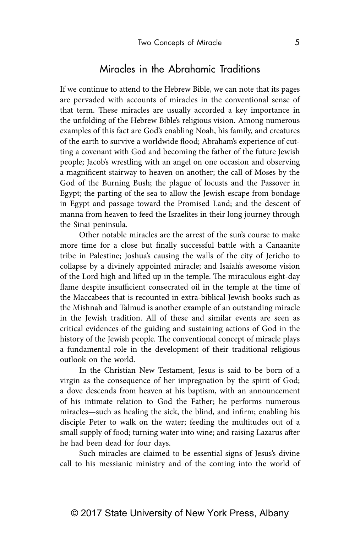## Miracles in the Abrahamic Traditions

If we continue to attend to the Hebrew Bible, we can note that its pages are pervaded with accounts of miracles in the conventional sense of that term. These miracles are usually accorded a key importance in the unfolding of the Hebrew Bible's religious vision. Among numerous examples of this fact are God's enabling Noah, his family, and creatures of the earth to survive a worldwide flood; Abraham's experience of cutting a covenant with God and becoming the father of the future Jewish people; Jacob's wrestling with an angel on one occasion and observing a magnificent stairway to heaven on another; the call of Moses by the God of the Burning Bush; the plague of locusts and the Passover in Egypt; the parting of the sea to allow the Jewish escape from bondage in Egypt and passage toward the Promised Land; and the descent of manna from heaven to feed the Israelites in their long journey through the Sinai peninsula.

Other notable miracles are the arrest of the sun's course to make more time for a close but finally successful battle with a Canaanite tribe in Palestine; Joshua's causing the walls of the city of Jericho to collapse by a divinely appointed miracle; and Isaiah's awesome vision of the Lord high and lifted up in the temple. The miraculous eight-day flame despite insufficient consecrated oil in the temple at the time of the Maccabees that is recounted in extra-biblical Jewish books such as the Mishnah and Talmud is another example of an outstanding miracle in the Jewish tradition. All of these and similar events are seen as critical evidences of the guiding and sustaining actions of God in the history of the Jewish people. The conventional concept of miracle plays a fundamental role in the development of their traditional religious outlook on the world.

In the Christian New Testament, Jesus is said to be born of a virgin as the consequence of her impregnation by the spirit of God; a dove descends from heaven at his baptism, with an announcement of his intimate relation to God the Father; he performs numerous miracles—such as healing the sick, the blind, and infirm; enabling his disciple Peter to walk on the water; feeding the multitudes out of a small supply of food; turning water into wine; and raising Lazarus after he had been dead for four days.

Such miracles are claimed to be essential signs of Jesus's divine call to his messianic ministry and of the coming into the world of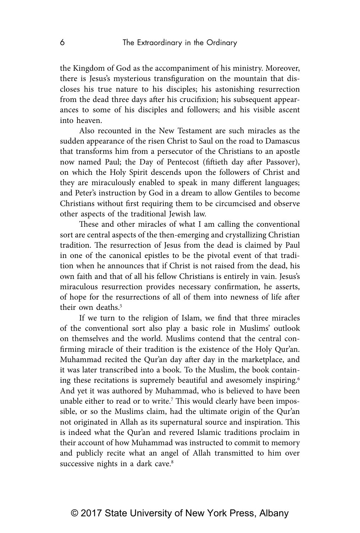the Kingdom of God as the accompaniment of his ministry. Moreover, there is Jesus's mysterious transfiguration on the mountain that discloses his true nature to his disciples; his astonishing resurrection from the dead three days after his crucifixion; his subsequent appearances to some of his disciples and followers; and his visible ascent into heaven.

Also recounted in the New Testament are such miracles as the sudden appearance of the risen Christ to Saul on the road to Damascus that transforms him from a persecutor of the Christians to an apostle now named Paul; the Day of Pentecost (fiftieth day after Passover), on which the Holy Spirit descends upon the followers of Christ and they are miraculously enabled to speak in many different languages; and Peter's instruction by God in a dream to allow Gentiles to become Christians without first requiring them to be circumcised and observe other aspects of the traditional Jewish law.

These and other miracles of what I am calling the conventional sort are central aspects of the then-emerging and crystallizing Christian tradition. The resurrection of Jesus from the dead is claimed by Paul in one of the canonical epistles to be the pivotal event of that tradition when he announces that if Christ is not raised from the dead, his own faith and that of all his fellow Christians is entirely in vain. Jesus's miraculous resurrection provides necessary confirmation, he asserts, of hope for the resurrections of all of them into newness of life after their own deaths.<sup>5</sup>

If we turn to the religion of Islam, we find that three miracles of the conventional sort also play a basic role in Muslims' outlook on themselves and the world. Muslims contend that the central confirming miracle of their tradition is the existence of the Holy Qur'an. Muhammad recited the Qur'an day after day in the marketplace, and it was later transcribed into a book. To the Muslim, the book containing these recitations is supremely beautiful and awesomely inspiring.<sup>6</sup> And yet it was authored by Muhammad, who is believed to have been unable either to read or to write.<sup>7</sup> This would clearly have been impossible, or so the Muslims claim, had the ultimate origin of the Qur'an not originated in Allah as its supernatural source and inspiration. This is indeed what the Qur'an and revered Islamic traditions proclaim in their account of how Muhammad was instructed to commit to memory and publicly recite what an angel of Allah transmitted to him over successive nights in a dark cave.<sup>8</sup>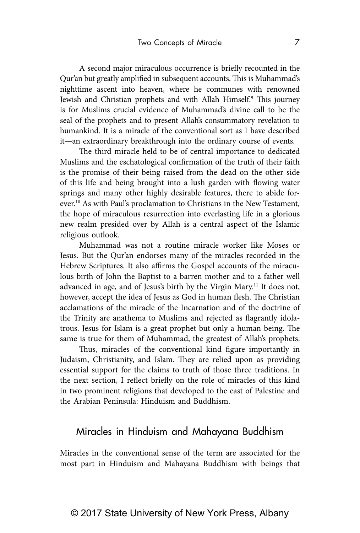A second major miraculous occurrence is briefly recounted in the Qur'an but greatly amplified in subsequent accounts. This is Muhammad's nighttime ascent into heaven, where he communes with renowned Jewish and Christian prophets and with Allah Himself.<sup>9</sup> This journey is for Muslims crucial evidence of Muhammad's divine call to be the seal of the prophets and to present Allah's consummatory revelation to humankind. It is a miracle of the conventional sort as I have described it—an extraordinary breakthrough into the ordinary course of events.

The third miracle held to be of central importance to dedicated Muslims and the eschatological confirmation of the truth of their faith is the promise of their being raised from the dead on the other side of this life and being brought into a lush garden with flowing water springs and many other highly desirable features, there to abide forever.10 As with Paul's proclamation to Christians in the New Testament, the hope of miraculous resurrection into everlasting life in a glorious new realm presided over by Allah is a central aspect of the Islamic religious outlook.

Muhammad was not a routine miracle worker like Moses or Jesus. But the Qur'an endorses many of the miracles recorded in the Hebrew Scriptures. It also affirms the Gospel accounts of the miraculous birth of John the Baptist to a barren mother and to a father well advanced in age, and of Jesus's birth by the Virgin Mary.<sup>11</sup> It does not, however, accept the idea of Jesus as God in human flesh. The Christian acclamations of the miracle of the Incarnation and of the doctrine of the Trinity are anathema to Muslims and rejected as flagrantly idolatrous. Jesus for Islam is a great prophet but only a human being. The same is true for them of Muhammad, the greatest of Allah's prophets.

Thus, miracles of the conventional kind figure importantly in Judaism, Christianity, and Islam. They are relied upon as providing essential support for the claims to truth of those three traditions. In the next section, I reflect briefly on the role of miracles of this kind in two prominent religions that developed to the east of Palestine and the Arabian Peninsula: Hinduism and Buddhism.

### Miracles in Hinduism and Mahayana Buddhism

Miracles in the conventional sense of the term are associated for the most part in Hinduism and Mahayana Buddhism with beings that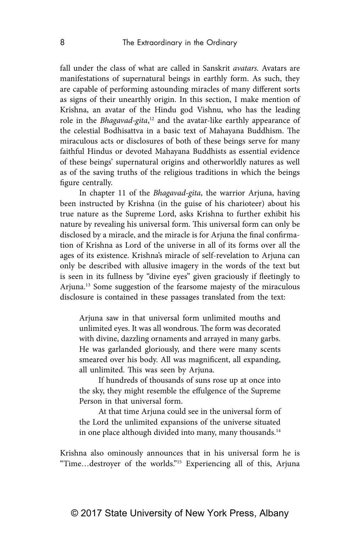fall under the class of what are called in Sanskrit *avatars*. Avatars are manifestations of supernatural beings in earthly form. As such, they are capable of performing astounding miracles of many different sorts as signs of their unearthly origin. In this section, I make mention of Krishna, an avatar of the Hindu god Vishnu, who has the leading role in the *Bhagavad-gita*, 12 and the avatar-like earthly appearance of the celestial Bodhisattva in a basic text of Mahayana Buddhism. The miraculous acts or disclosures of both of these beings serve for many faithful Hindus or devoted Mahayana Buddhists as essential evidence of these beings' supernatural origins and otherworldly natures as well as of the saving truths of the religious traditions in which the beings figure centrally.

In chapter 11 of the *Bhagavad-gita*, the warrior Arjuna, having been instructed by Krishna (in the guise of his charioteer) about his true nature as the Supreme Lord, asks Krishna to further exhibit his nature by revealing his universal form. This universal form can only be disclosed by a miracle, and the miracle is for Arjuna the final confirmation of Krishna as Lord of the universe in all of its forms over all the ages of its existence. Krishna's miracle of self-revelation to Arjuna can only be described with allusive imagery in the words of the text but is seen in its fullness by "divine eyes" given graciously if fleetingly to Arjuna.13 Some suggestion of the fearsome majesty of the miraculous disclosure is contained in these passages translated from the text:

Arjuna saw in that universal form unlimited mouths and unlimited eyes. It was all wondrous. The form was decorated with divine, dazzling ornaments and arrayed in many garbs. He was garlanded gloriously, and there were many scents smeared over his body. All was magnificent, all expanding, all unlimited. This was seen by Arjuna.

If hundreds of thousands of suns rose up at once into the sky, they might resemble the effulgence of the Supreme Person in that universal form.

At that time Arjuna could see in the universal form of the Lord the unlimited expansions of the universe situated in one place although divided into many, many thousands.<sup>14</sup>

Krishna also ominously announces that in his universal form he is "Time…destroyer of the worlds."15 Experiencing all of this, Arjuna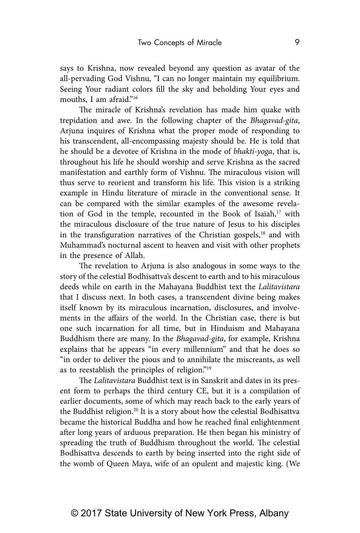says to Krishna, now revealed beyond any question as avatar of the all-pervading God Vishnu, "I can no longer maintain my equilibrium. Seeing Your radiant colors fill the sky and beholding Your eyes and mouths, I am afraid."<sup>16</sup>

The miracle of Krishna's revelation has made him quake with trepidation and awe. In the following chapter of the *Bhagavad-gita*, Arjuna inquires of Krishna what the proper mode of responding to his transcendent, all-encompassing majesty should be. He is told that he should be a devotee of Krishna in the mode of *bhakti-yoga*, that is, throughout his life he should worship and serve Krishna as the sacred manifestation and earthly form of Vishnu. The miraculous vision will thus serve to reorient and transform his life. This vision is a striking example in Hindu literature of miracle in the conventional sense. It can be compared with the similar examples of the awesome revelation of God in the temple, recounted in the Book of Isaiah,<sup>17</sup> with the miraculous disclosure of the true nature of Jesus to his disciples in the transfiguration narratives of the Christian gospels,<sup>18</sup> and with Muhammad's nocturnal ascent to heaven and visit with other prophets in the presence of Allah.

The revelation to Arjuna is also analogous in some ways to the story of the celestial Bodhisattva's descent to earth and to his miraculous deeds while on earth in the Mahayana Buddhist text the *Lalitavistara* that I discuss next. In both cases, a transcendent divine being makes itself known by its miraculous incarnation, disclosures, and involvements in the affairs of the world. In the Christian case, there is but one such incarnation for all time, but in Hinduism and Mahayana Buddhism there are many. In the *Bhagavad-gita*, for example, Krishna explains that he appears "in every millennium" and that he does so "in order to deliver the pious and to annihilate the miscreants, as well as to reestablish the principles of religion."19

The *Lalitavistara* Buddhist text is in Sanskrit and dates in its present form to perhaps the third century CE, but it is a compilation of earlier documents, some of which may reach back to the early years of the Buddhist religion.<sup>20</sup> It is a story about how the celestial Bodhisattva became the historical Buddha and how he reached final enlightenment after long years of arduous preparation. He then began his ministry of spreading the truth of Buddhism throughout the world. The celestial Bodhisattva descends to earth by being inserted into the right side of the womb of Queen Maya, wife of an opulent and majestic king. (We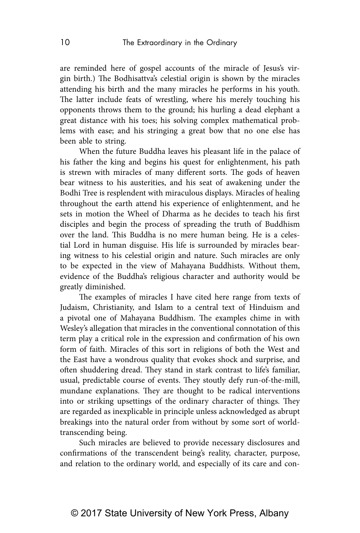are reminded here of gospel accounts of the miracle of Jesus's virgin birth.) The Bodhisattva's celestial origin is shown by the miracles attending his birth and the many miracles he performs in his youth. The latter include feats of wrestling, where his merely touching his opponents throws them to the ground; his hurling a dead elephant a great distance with his toes; his solving complex mathematical problems with ease; and his stringing a great bow that no one else has been able to string.

When the future Buddha leaves his pleasant life in the palace of his father the king and begins his quest for enlightenment, his path is strewn with miracles of many different sorts. The gods of heaven bear witness to his austerities, and his seat of awakening under the Bodhi Tree is resplendent with miraculous displays. Miracles of healing throughout the earth attend his experience of enlightenment, and he sets in motion the Wheel of Dharma as he decides to teach his first disciples and begin the process of spreading the truth of Buddhism over the land. This Buddha is no mere human being. He is a celestial Lord in human disguise. His life is surrounded by miracles bearing witness to his celestial origin and nature. Such miracles are only to be expected in the view of Mahayana Buddhists. Without them, evidence of the Buddha's religious character and authority would be greatly diminished.

The examples of miracles I have cited here range from texts of Judaism, Christianity, and Islam to a central text of Hinduism and a pivotal one of Mahayana Buddhism. The examples chime in with Wesley's allegation that miracles in the conventional connotation of this term play a critical role in the expression and confirmation of his own form of faith. Miracles of this sort in religions of both the West and the East have a wondrous quality that evokes shock and surprise, and often shuddering dread. They stand in stark contrast to life's familiar, usual, predictable course of events. They stoutly defy run-of-the-mill, mundane explanations. They are thought to be radical interventions into or striking upsettings of the ordinary character of things. They are regarded as inexplicable in principle unless acknowledged as abrupt breakings into the natural order from without by some sort of worldtranscending being.

Such miracles are believed to provide necessary disclosures and confirmations of the transcendent being's reality, character, purpose, and relation to the ordinary world, and especially of its care and con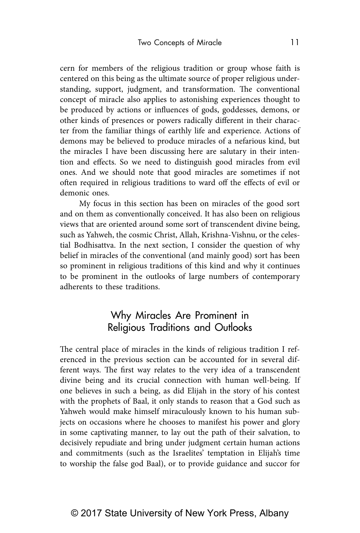cern for members of the religious tradition or group whose faith is centered on this being as the ultimate source of proper religious understanding, support, judgment, and transformation. The conventional concept of miracle also applies to astonishing experiences thought to be produced by actions or influences of gods, goddesses, demons, or other kinds of presences or powers radically different in their character from the familiar things of earthly life and experience. Actions of demons may be believed to produce miracles of a nefarious kind, but the miracles I have been discussing here are salutary in their intention and effects. So we need to distinguish good miracles from evil ones. And we should note that good miracles are sometimes if not often required in religious traditions to ward off the effects of evil or demonic ones.

My focus in this section has been on miracles of the good sort and on them as conventionally conceived. It has also been on religious views that are oriented around some sort of transcendent divine being, such as Yahweh, the cosmic Christ, Allah, Krishna-Vishnu, or the celestial Bodhisattva. In the next section, I consider the question of why belief in miracles of the conventional (and mainly good) sort has been so prominent in religious traditions of this kind and why it continues to be prominent in the outlooks of large numbers of contemporary adherents to these traditions.

## Why Miracles Are Prominent in Religious Traditions and Outlooks

The central place of miracles in the kinds of religious tradition I referenced in the previous section can be accounted for in several different ways. The first way relates to the very idea of a transcendent divine being and its crucial connection with human well-being. If one believes in such a being, as did Elijah in the story of his contest with the prophets of Baal, it only stands to reason that a God such as Yahweh would make himself miraculously known to his human subjects on occasions where he chooses to manifest his power and glory in some captivating manner, to lay out the path of their salvation, to decisively repudiate and bring under judgment certain human actions and commitments (such as the Israelites' temptation in Elijah's time to worship the false god Baal), or to provide guidance and succor for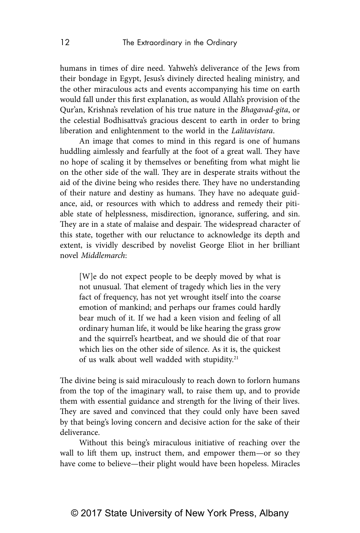humans in times of dire need. Yahweh's deliverance of the Jews from their bondage in Egypt, Jesus's divinely directed healing ministry, and the other miraculous acts and events accompanying his time on earth would fall under this first explanation, as would Allah's provision of the Qur'an, Krishna's revelation of his true nature in the *Bhagavad-gita*, or the celestial Bodhisattva's gracious descent to earth in order to bring liberation and enlightenment to the world in the *Lalitavistara*.

An image that comes to mind in this regard is one of humans huddling aimlessly and fearfully at the foot of a great wall. They have no hope of scaling it by themselves or benefiting from what might lie on the other side of the wall. They are in desperate straits without the aid of the divine being who resides there. They have no understanding of their nature and destiny as humans. They have no adequate guidance, aid, or resources with which to address and remedy their pitiable state of helplessness, misdirection, ignorance, suffering, and sin. They are in a state of malaise and despair. The widespread character of this state, together with our reluctance to acknowledge its depth and extent, is vividly described by novelist George Eliot in her brilliant novel *Middlemarch*:

[W]e do not expect people to be deeply moved by what is not unusual. That element of tragedy which lies in the very fact of frequency, has not yet wrought itself into the coarse emotion of mankind; and perhaps our frames could hardly bear much of it. If we had a keen vision and feeling of all ordinary human life, it would be like hearing the grass grow and the squirrel's heartbeat, and we should die of that roar which lies on the other side of silence. As it is, the quickest of us walk about well wadded with stupidity.<sup>21</sup>

The divine being is said miraculously to reach down to forlorn humans from the top of the imaginary wall, to raise them up, and to provide them with essential guidance and strength for the living of their lives. They are saved and convinced that they could only have been saved by that being's loving concern and decisive action for the sake of their deliverance.

Without this being's miraculous initiative of reaching over the wall to lift them up, instruct them, and empower them—or so they have come to believe—their plight would have been hopeless. Miracles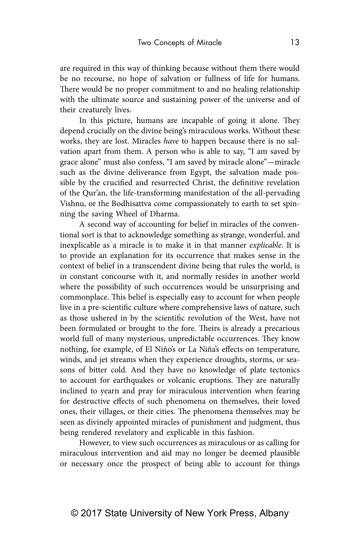are required in this way of thinking because without them there would be no recourse, no hope of salvation or fullness of life for humans. There would be no proper commitment to and no healing relationship with the ultimate source and sustaining power of the universe and of their creaturely lives.

In this picture, humans are incapable of going it alone. They depend crucially on the divine being's miraculous works. Without these works, they are lost. Miracles *have* to happen because there is no salvation apart from them. A person who is able to say, "I am saved by grace alone" must also confess, "I am saved by miracle alone"—miracle such as the divine deliverance from Egypt, the salvation made possible by the crucified and resurrected Christ, the definitive revelation of the Qur'an, the life-transforming manifestation of the all-pervading Vishnu, or the Bodhisattva come compassionately to earth to set spinning the saving Wheel of Dharma.

A second way of accounting for belief in miracles of the conventional sort is that to acknowledge something as strange, wonderful, and inexplicable as a miracle is to make it in that manner *explicable*. It is to provide an explanation for its occurrence that makes sense in the context of belief in a transcendent divine being that rules the world, is in constant concourse with it, and normally resides in another world where the possibility of such occurrences would be unsurprising and commonplace. This belief is especially easy to account for when people live in a pre-scientific culture where comprehensive laws of nature, such as those ushered in by the scientific revolution of the West, have not been formulated or brought to the fore. Theirs is already a precarious world full of many mysterious, unpredictable occurrences. They know nothing, for example, of El Niño's or La Niña's effects on temperature, winds, and jet streams when they experience droughts, storms, or seasons of bitter cold. And they have no knowledge of plate tectonics to account for earthquakes or volcanic eruptions. They are naturally inclined to yearn and pray for miraculous intervention when fearing for destructive effects of such phenomena on themselves, their loved ones, their villages, or their cities. The phenomena themselves may be seen as divinely appointed miracles of punishment and judgment, thus being rendered revelatory and explicable in this fashion.

However, to view such occurrences as miraculous or as calling for miraculous intervention and aid may no longer be deemed plausible or necessary once the prospect of being able to account for things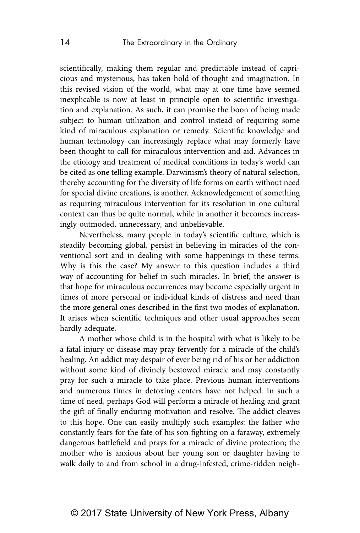scientifically, making them regular and predictable instead of capricious and mysterious, has taken hold of thought and imagination. In this revised vision of the world, what may at one time have seemed inexplicable is now at least in principle open to scientific investigation and explanation. As such, it can promise the boon of being made subject to human utilization and control instead of requiring some kind of miraculous explanation or remedy. Scientific knowledge and human technology can increasingly replace what may formerly have been thought to call for miraculous intervention and aid. Advances in the etiology and treatment of medical conditions in today's world can be cited as one telling example. Darwinism's theory of natural selection, thereby accounting for the diversity of life forms on earth without need for special divine creations, is another. Acknowledgement of something as requiring miraculous intervention for its resolution in one cultural context can thus be quite normal, while in another it becomes increasingly outmoded, unnecessary, and unbelievable.

Nevertheless, many people in today's scientific culture, which is steadily becoming global, persist in believing in miracles of the conventional sort and in dealing with some happenings in these terms. Why is this the case? My answer to this question includes a third way of accounting for belief in such miracles. In brief, the answer is that hope for miraculous occurrences may become especially urgent in times of more personal or individual kinds of distress and need than the more general ones described in the first two modes of explanation. It arises when scientific techniques and other usual approaches seem hardly adequate.

A mother whose child is in the hospital with what is likely to be a fatal injury or disease may pray fervently for a miracle of the child's healing. An addict may despair of ever being rid of his or her addiction without some kind of divinely bestowed miracle and may constantly pray for such a miracle to take place. Previous human interventions and numerous times in detoxing centers have not helped. In such a time of need, perhaps God will perform a miracle of healing and grant the gift of finally enduring motivation and resolve. The addict cleaves to this hope. One can easily multiply such examples: the father who constantly fears for the fate of his son fighting on a faraway, extremely dangerous battlefield and prays for a miracle of divine protection; the mother who is anxious about her young son or daughter having to walk daily to and from school in a drug-infested, crime-ridden neigh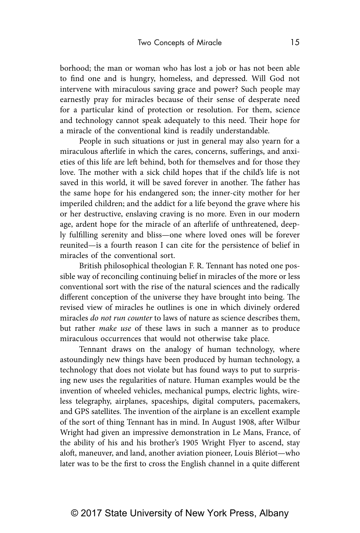borhood; the man or woman who has lost a job or has not been able to find one and is hungry, homeless, and depressed. Will God not intervene with miraculous saving grace and power? Such people may earnestly pray for miracles because of their sense of desperate need for a particular kind of protection or resolution. For them, science and technology cannot speak adequately to this need. Their hope for a miracle of the conventional kind is readily understandable.

People in such situations or just in general may also yearn for a miraculous afterlife in which the cares, concerns, sufferings, and anxieties of this life are left behind, both for themselves and for those they love. The mother with a sick child hopes that if the child's life is not saved in this world, it will be saved forever in another. The father has the same hope for his endangered son; the inner-city mother for her imperiled children; and the addict for a life beyond the grave where his or her destructive, enslaving craving is no more. Even in our modern age, ardent hope for the miracle of an afterlife of unthreatened, deeply fulfilling serenity and bliss—one where loved ones will be forever reunited—is a fourth reason I can cite for the persistence of belief in miracles of the conventional sort.

British philosophical theologian F. R. Tennant has noted one possible way of reconciling continuing belief in miracles of the more or less conventional sort with the rise of the natural sciences and the radically different conception of the universe they have brought into being. The revised view of miracles he outlines is one in which divinely ordered miracles *do not run counter* to laws of nature as science describes them, but rather *make use* of these laws in such a manner as to produce miraculous occurrences that would not otherwise take place.

Tennant draws on the analogy of human technology, where astoundingly new things have been produced by human technology, a technology that does not violate but has found ways to put to surprising new uses the regularities of nature. Human examples would be the invention of wheeled vehicles, mechanical pumps, electric lights, wireless telegraphy, airplanes, spaceships, digital computers, pacemakers, and GPS satellites. The invention of the airplane is an excellent example of the sort of thing Tennant has in mind. In August 1908, after Wilbur Wright had given an impressive demonstration in Le Mans, France, of the ability of his and his brother's 1905 Wright Flyer to ascend, stay aloft, maneuver, and land, another aviation pioneer, Louis Blériot—who later was to be the first to cross the English channel in a quite different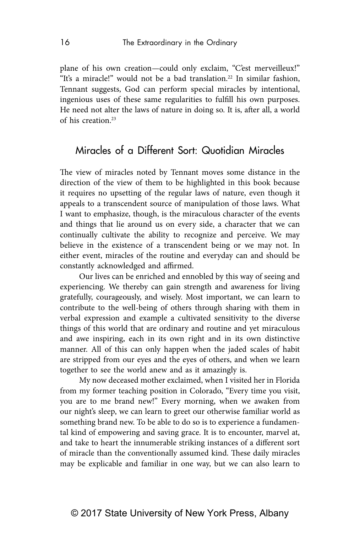plane of his own creation—could only exclaim, "C'est merveilleux!" "It's a miracle!" would not be a bad translation.<sup>22</sup> In similar fashion, Tennant suggests, God can perform special miracles by intentional, ingenious uses of these same regularities to fulfill his own purposes. He need not alter the laws of nature in doing so. It is, after all, a world of his creation.23

## Miracles of a Different Sort: Quotidian Miracles

The view of miracles noted by Tennant moves some distance in the direction of the view of them to be highlighted in this book because it requires no upsetting of the regular laws of nature, even though it appeals to a transcendent source of manipulation of those laws. What I want to emphasize, though, is the miraculous character of the events and things that lie around us on every side, a character that we can continually cultivate the ability to recognize and perceive. We may believe in the existence of a transcendent being or we may not. In either event, miracles of the routine and everyday can and should be constantly acknowledged and affirmed.

Our lives can be enriched and ennobled by this way of seeing and experiencing. We thereby can gain strength and awareness for living gratefully, courageously, and wisely. Most important, we can learn to contribute to the well-being of others through sharing with them in verbal expression and example a cultivated sensitivity to the diverse things of this world that are ordinary and routine and yet miraculous and awe inspiring, each in its own right and in its own distinctive manner. All of this can only happen when the jaded scales of habit are stripped from our eyes and the eyes of others, and when we learn together to see the world anew and as it amazingly is.

My now deceased mother exclaimed, when I visited her in Florida from my former teaching position in Colorado, "Every time you visit, you are to me brand new!" Every morning, when we awaken from our night's sleep, we can learn to greet our otherwise familiar world as something brand new. To be able to do so is to experience a fundamental kind of empowering and saving grace. It is to encounter, marvel at, and take to heart the innumerable striking instances of a different sort of miracle than the conventionally assumed kind. These daily miracles may be explicable and familiar in one way, but we can also learn to